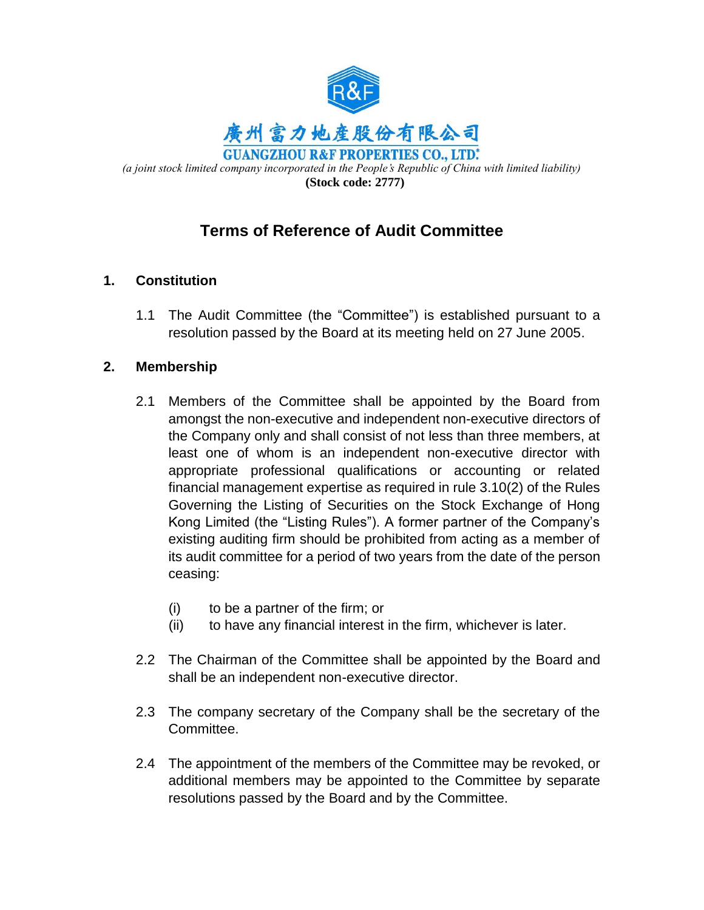

# **Terms of Reference of Audit Committee**

# **1. Constitution**

1.1 The Audit Committee (the "Committee") is established pursuant to a resolution passed by the Board at its meeting held on 27 June 2005.

## **2. Membership**

- 2.1 Members of the Committee shall be appointed by the Board from amongst the non-executive and independent non-executive directors of the Company only and shall consist of not less than three members, at least one of whom is an independent non-executive director with appropriate professional qualifications or accounting or related financial management expertise as required in rule 3.10(2) of the Rules Governing the Listing of Securities on the Stock Exchange of Hong Kong Limited (the "Listing Rules"). A former partner of the Company's existing auditing firm should be prohibited from acting as a member of its audit committee for a period of two years from the date of the person ceasing:
	- (i) to be a partner of the firm; or
	- (ii) to have any financial interest in the firm, whichever is later.
- 2.2 The Chairman of the Committee shall be appointed by the Board and shall be an independent non-executive director.
- 2.3 The company secretary of the Company shall be the secretary of the Committee.
- 2.4 The appointment of the members of the Committee may be revoked, or additional members may be appointed to the Committee by separate resolutions passed by the Board and by the Committee.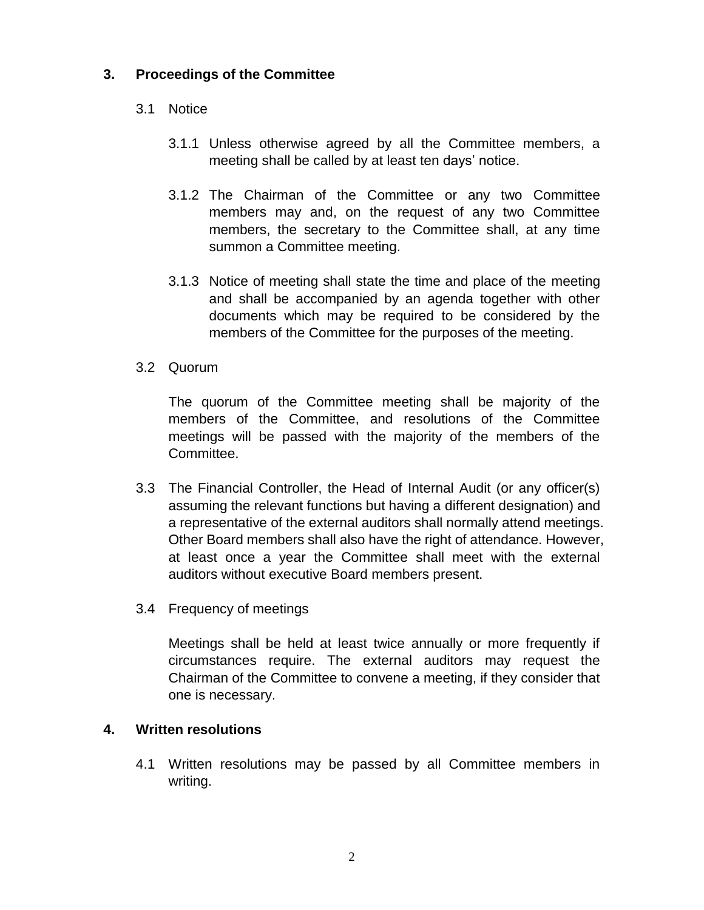### **3. Proceedings of the Committee**

#### 3.1 Notice

- 3.1.1 Unless otherwise agreed by all the Committee members, a meeting shall be called by at least ten days' notice.
- 3.1.2 The Chairman of the Committee or any two Committee members may and, on the request of any two Committee members, the secretary to the Committee shall, at any time summon a Committee meeting.
- 3.1.3 Notice of meeting shall state the time and place of the meeting and shall be accompanied by an agenda together with other documents which may be required to be considered by the members of the Committee for the purposes of the meeting.

#### 3.2 Quorum

The quorum of the Committee meeting shall be majority of the members of the Committee, and resolutions of the Committee meetings will be passed with the majority of the members of the Committee.

- 3.3 The Financial Controller, the Head of Internal Audit (or any officer(s) assuming the relevant functions but having a different designation) and a representative of the external auditors shall normally attend meetings. Other Board members shall also have the right of attendance. However, at least once a year the Committee shall meet with the external auditors without executive Board members present.
- 3.4 Frequency of meetings

Meetings shall be held at least twice annually or more frequently if circumstances require. The external auditors may request the Chairman of the Committee to convene a meeting, if they consider that one is necessary.

#### **4. Written resolutions**

4.1 Written resolutions may be passed by all Committee members in writing.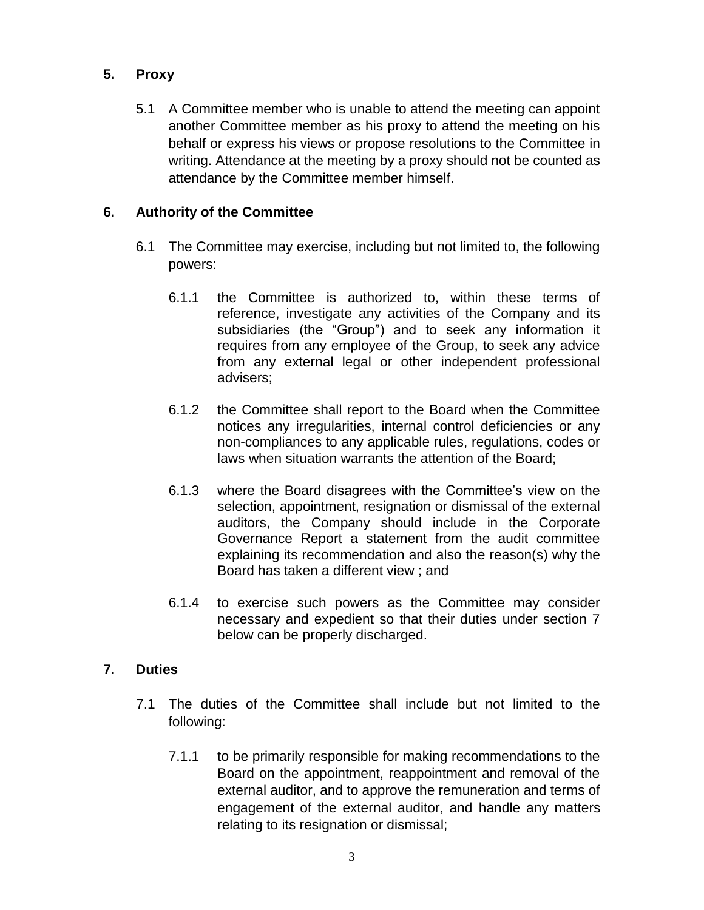## **5. Proxy**

5.1 A Committee member who is unable to attend the meeting can appoint another Committee member as his proxy to attend the meeting on his behalf or express his views or propose resolutions to the Committee in writing. Attendance at the meeting by a proxy should not be counted as attendance by the Committee member himself.

## **6. Authority of the Committee**

- 6.1 The Committee may exercise, including but not limited to, the following powers:
	- 6.1.1 the Committee is authorized to, within these terms of reference, investigate any activities of the Company and its subsidiaries (the "Group") and to seek any information it requires from any employee of the Group, to seek any advice from any external legal or other independent professional advisers;
	- 6.1.2 the Committee shall report to the Board when the Committee notices any irregularities, internal control deficiencies or any non-compliances to any applicable rules, regulations, codes or laws when situation warrants the attention of the Board;
	- 6.1.3 where the Board disagrees with the Committee's view on the selection, appointment, resignation or dismissal of the external auditors, the Company should include in the Corporate Governance Report a statement from the audit committee explaining its recommendation and also the reason(s) why the Board has taken a different view ; and
	- 6.1.4 to exercise such powers as the Committee may consider necessary and expedient so that their duties under section 7 below can be properly discharged.

## **7. Duties**

- 7.1 The duties of the Committee shall include but not limited to the following:
	- 7.1.1 to be primarily responsible for making recommendations to the Board on the appointment, reappointment and removal of the external auditor, and to approve the remuneration and terms of engagement of the external auditor, and handle any matters relating to its resignation or dismissal;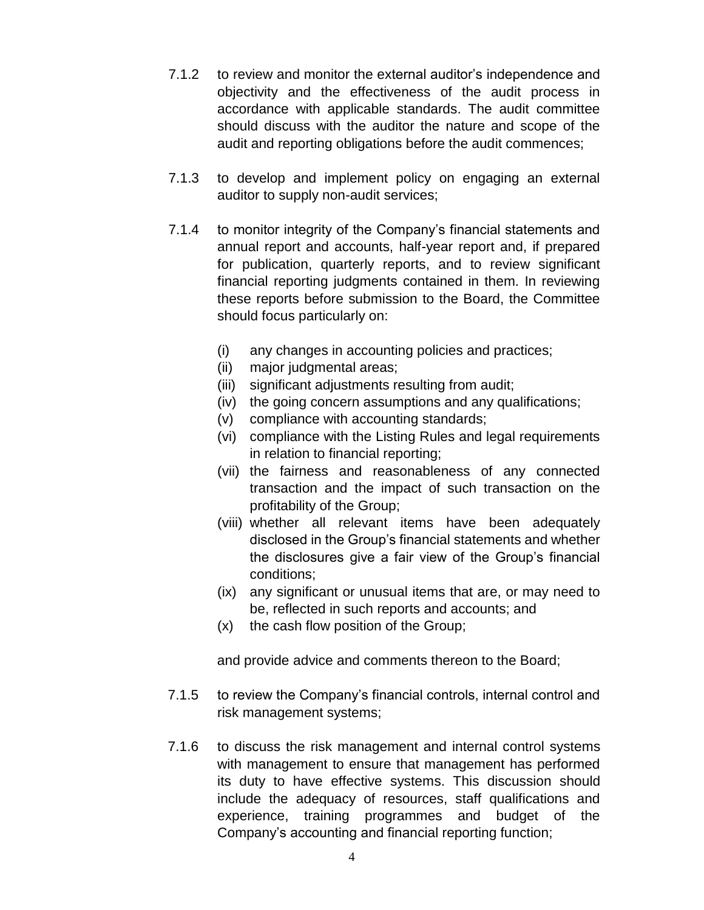- 7.1.2 to review and monitor the external auditor's independence and objectivity and the effectiveness of the audit process in accordance with applicable standards. The audit committee should discuss with the auditor the nature and scope of the audit and reporting obligations before the audit commences;
- 7.1.3 to develop and implement policy on engaging an external auditor to supply non-audit services;
- 7.1.4 to monitor integrity of the Company's financial statements and annual report and accounts, half-year report and, if prepared for publication, quarterly reports, and to review significant financial reporting judgments contained in them. In reviewing these reports before submission to the Board, the Committee should focus particularly on:
	- (i) any changes in accounting policies and practices;
	- (ii) major judgmental areas;
	- (iii) significant adjustments resulting from audit;
	- (iv) the going concern assumptions and any qualifications;
	- (v) compliance with accounting standards;
	- (vi) compliance with the Listing Rules and legal requirements in relation to financial reporting;
	- (vii) the fairness and reasonableness of any connected transaction and the impact of such transaction on the profitability of the Group;
	- (viii) whether all relevant items have been adequately disclosed in the Group's financial statements and whether the disclosures give a fair view of the Group's financial conditions;
	- (ix) any significant or unusual items that are, or may need to be, reflected in such reports and accounts; and
	- (x) the cash flow position of the Group;

and provide advice and comments thereon to the Board;

- 7.1.5 to review the Company's financial controls, internal control and risk management systems;
- 7.1.6 to discuss the risk management and internal control systems with management to ensure that management has performed its duty to have effective systems. This discussion should include the adequacy of resources, staff qualifications and experience, training programmes and budget of the Company's accounting and financial reporting function;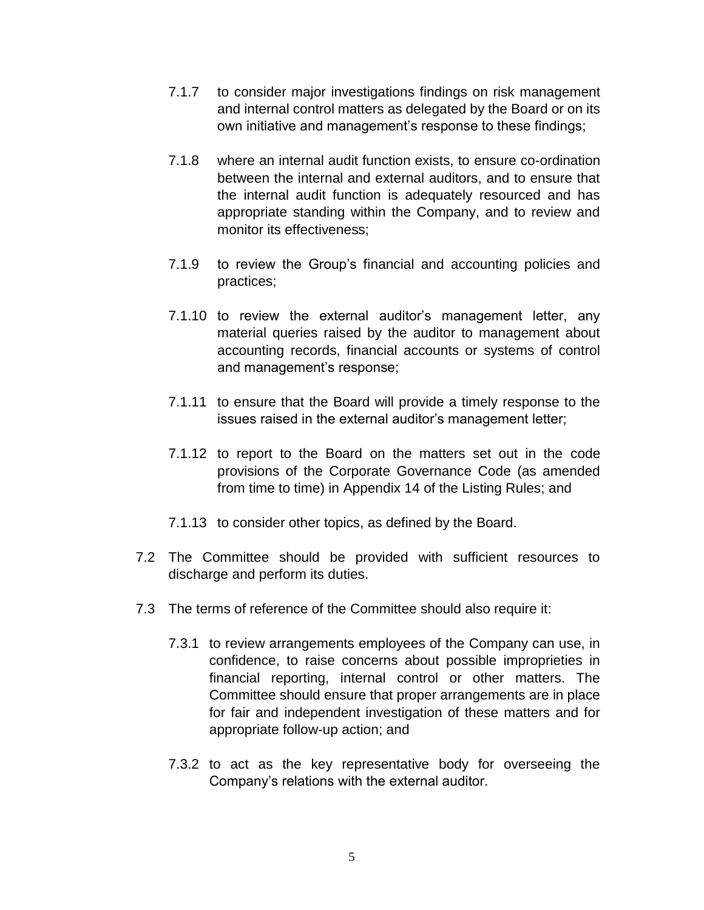- 7.1.7 to consider major investigations findings on risk management and internal control matters as delegated by the Board or on its own initiative and management's response to these findings;
- 7.1.8 where an internal audit function exists, to ensure co-ordination between the internal and external auditors, and to ensure that the internal audit function is adequately resourced and has appropriate standing within the Company, and to review and monitor its effectiveness;
- 7.1.9 to review the Group's financial and accounting policies and practices;
- 7.1.10 to review the external auditor's management letter, any material queries raised by the auditor to management about accounting records, financial accounts or systems of control and management's response;
- 7.1.11 to ensure that the Board will provide a timely response to the issues raised in the external auditor's management letter;
- 7.1.12 to report to the Board on the matters set out in the code provisions of the Corporate Governance Code (as amended from time to time) in Appendix 14 of the Listing Rules; and
- 7.1.13 to consider other topics, as defined by the Board.
- 7.2 The Committee should be provided with sufficient resources to discharge and perform its duties.
- 7.3 The terms of reference of the Committee should also require it:
	- 7.3.1 to review arrangements employees of the Company can use, in confidence, to raise concerns about possible improprieties in financial reporting, internal control or other matters. The Committee should ensure that proper arrangements are in place for fair and independent investigation of these matters and for appropriate follow-up action; and
	- 7.3.2 to act as the key representative body for overseeing the Company's relations with the external auditor.